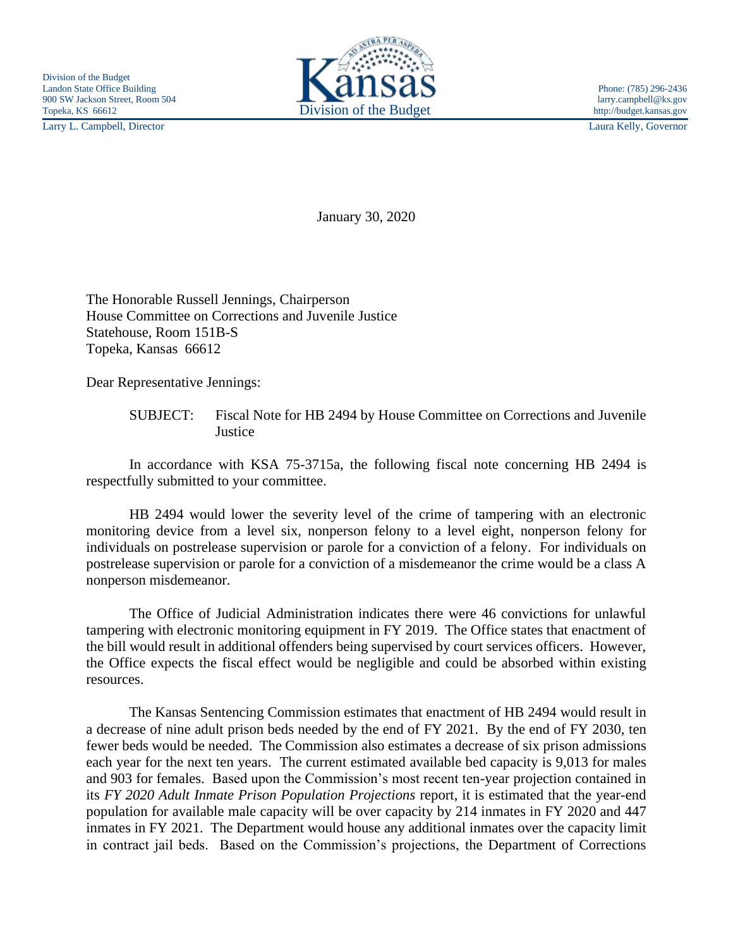Larry L. Campbell, Director Laura Kelly, Governor



January 30, 2020

The Honorable Russell Jennings, Chairperson House Committee on Corrections and Juvenile Justice Statehouse, Room 151B-S Topeka, Kansas 66612

Dear Representative Jennings:

In accordance with KSA 75-3715a, the following fiscal note concerning HB 2494 is respectfully submitted to your committee.

HB 2494 would lower the severity level of the crime of tampering with an electronic monitoring device from a level six, nonperson felony to a level eight, nonperson felony for individuals on postrelease supervision or parole for a conviction of a felony. For individuals on postrelease supervision or parole for a conviction of a misdemeanor the crime would be a class A nonperson misdemeanor.

The Office of Judicial Administration indicates there were 46 convictions for unlawful tampering with electronic monitoring equipment in FY 2019. The Office states that enactment of the bill would result in additional offenders being supervised by court services officers. However, the Office expects the fiscal effect would be negligible and could be absorbed within existing resources.

The Kansas Sentencing Commission estimates that enactment of HB 2494 would result in a decrease of nine adult prison beds needed by the end of FY 2021. By the end of FY 2030, ten fewer beds would be needed. The Commission also estimates a decrease of six prison admissions each year for the next ten years. The current estimated available bed capacity is 9,013 for males and 903 for females. Based upon the Commission's most recent ten-year projection contained in its *FY 2020 Adult Inmate Prison Population Projections* report, it is estimated that the year-end population for available male capacity will be over capacity by 214 inmates in FY 2020 and 447 inmates in FY 2021. The Department would house any additional inmates over the capacity limit in contract jail beds. Based on the Commission's projections, the Department of Corrections

SUBJECT: Fiscal Note for HB 2494 by House Committee on Corrections and Juvenile **Justice**